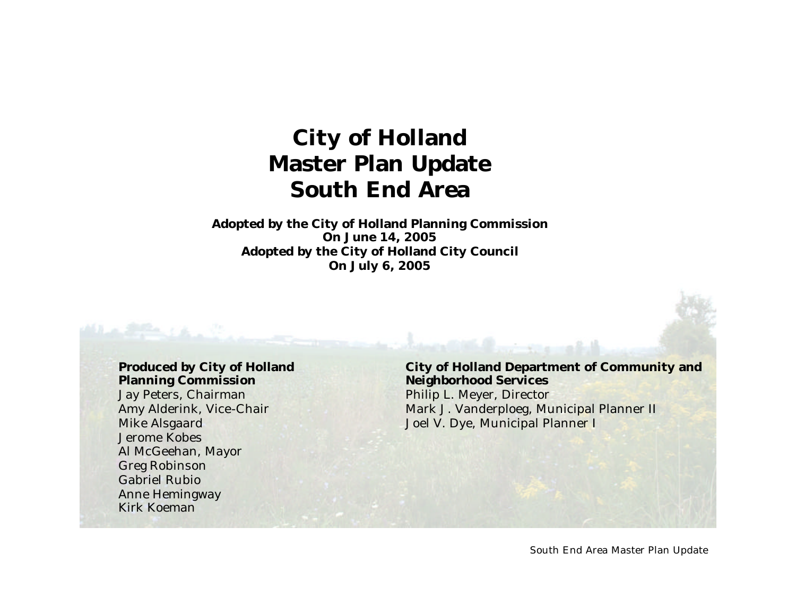# **City of Holland Master Plan Update South End Area**

**Adopted by the City of Holland Planning Commission On June 14, 2005 Adopted by the City of Holland City Council On July 6, 2005**

#### **Produced by City of Holland Planning Commission**

Jay Peters, Chairman Amy Alderink, Vice-Chair Mike Alsgaard Jerome Kobes Al McGeehan, Mayor Greg Robinson Gabriel Rubio Anne Hemingway Kirk Koeman

#### **City of Holland Department of Community and Neighborhood Services**

Philip L. Meyer, Director Mark J. Vanderploeg, Municipal Planner II Joel V. Dye, Municipal Planner I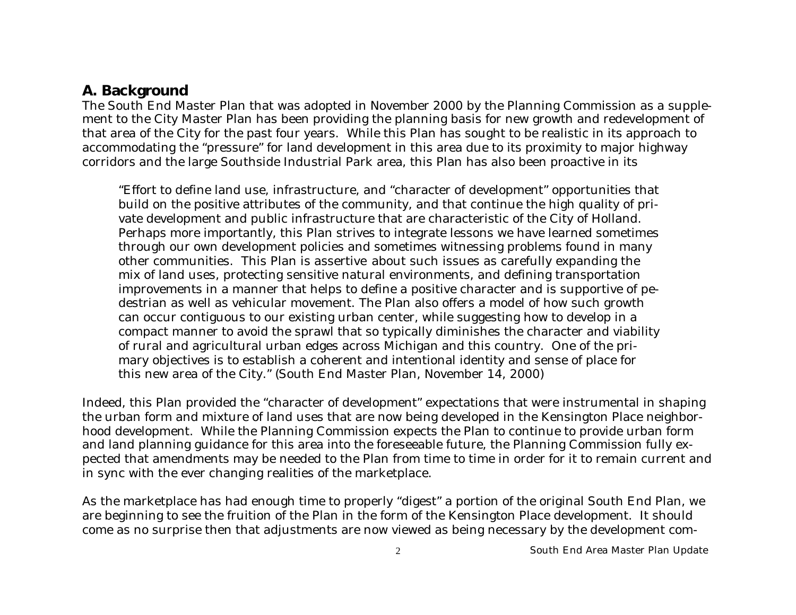#### **A. Background**

The South End Master Plan that was adopted in November 2000 by the Planning Commission as a supplement to the City Master Plan has been providing the planning basis for new growth and redevelopment of that area of the City for the past four years. While this Plan has sought to be realistic in its approach to accommodating the "pressure" for land development in this area due to its proximity to major highway corridors and the large Southside Industrial Park area, this Plan has also been proactive in its

"Effort to define land use, infrastructure, and "character of development" opportunities that build on the positive attributes of the community, and that continue the high quality of private development and public infrastructure that are characteristic of the City of Holland. Perhaps more importantly, this Plan strives to integrate lessons we have learned sometimes through our own development policies and sometimes witnessing problems found in many other communities. This Plan is assertive about such issues as carefully expanding the mix of land uses, protecting sensitive natural environments, and defining transportation improvements in a manner that helps to define a positive character and is supportive of pedestrian as well as vehicular movement. The Plan also offers a model of how such growth can occur contiguous to our existing urban center, while suggesting how to develop in a compact manner to avoid the sprawl that so typically diminishes the character and viability of rural and agricultural urban edges across Michigan and this country. One of the primary objectives is to establish a coherent and intentional identity and sense of place for this new area of the City." (South End Master Plan, November 14, 2000)

Indeed, this Plan provided the "character of development" expectations that were instrumental in shaping the urban form and mixture of land uses that are now being developed in the Kensington Place neighborhood development. While the Planning Commission expects the Plan to continue to provide urban form and land planning guidance for this area into the foreseeable future, the Planning Commission fully expected that amendments may be needed to the Plan from time to time in order for it to remain current and in sync with the ever changing realities of the marketplace.

As the marketplace has had enough time to properly "digest" a portion of the original South End Plan, we are beginning to see the fruition of the Plan in the form of the Kensington Place development. It should come as no surprise then that adjustments are now viewed as being necessary by the development com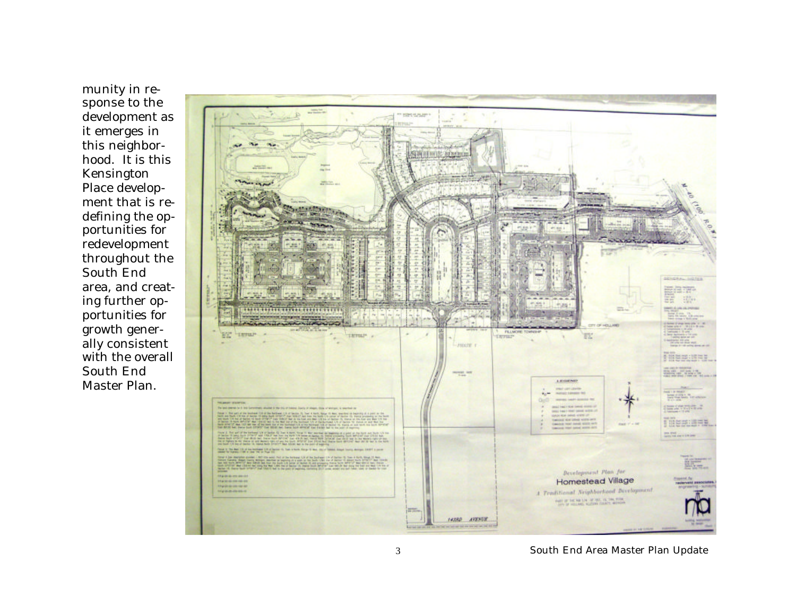munity in response to the development as it emerges in this neighborhood. It is this Kensington Place development that is redefining the opportunities for redevelopment throughout the South End area, and creating further opportunities for growth generally consistent with the overall South End Master Plan.

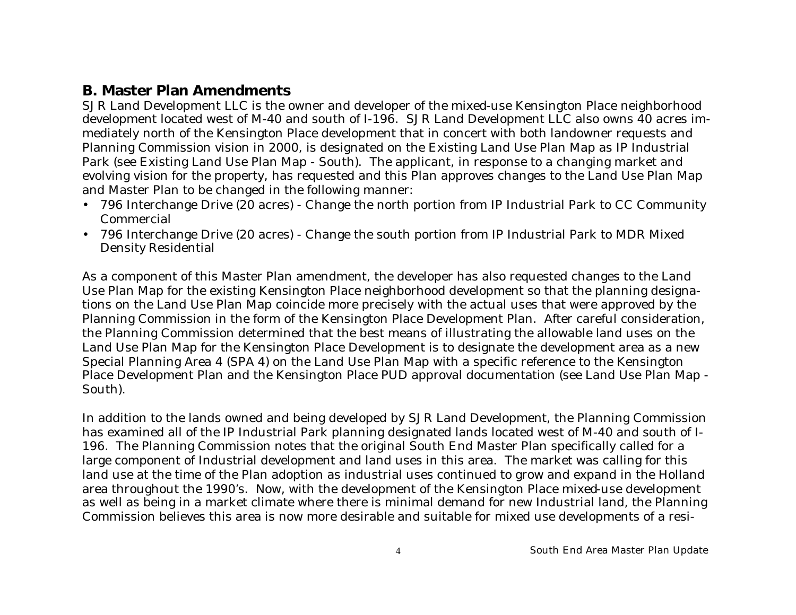#### **B. Master Plan Amendments**

SJR Land Development LLC is the owner and developer of the mixed-use Kensington Place neighborhood development located west of M-40 and south of I-196. SJR Land Development LLC also owns 40 acres immediately north of the Kensington Place development that in concert with both landowner requests and Planning Commission vision in 2000, is designated on the Existing Land Use Plan Map as IP Industrial Park (see Existing Land Use Plan Map - South). The applicant, in response to a changing market and evolving vision for the property, has requested and this Plan approves changes to the Land Use Plan Map and Master Plan to be changed in the following manner:

- 796 Interchange Drive (20 acres) Change the north portion from IP Industrial Park to CC Community Commercial
- 796 Interchange Drive (20 acres) Change the south portion from IP Industrial Park to MDR Mixed Density Residential

As a component of this Master Plan amendment, the developer has also requested changes to the Land Use Plan Map for the existing Kensington Place neighborhood development so that the planning designations on the Land Use Plan Map coincide more precisely with the actual uses that were approved by the Planning Commission in the form of the Kensington Place Development Plan. After careful consideration, the Planning Commission determined that the best means of illustrating the allowable land uses on the Land Use Plan Map for the Kensington Place Development is to designate the development area as a new Special Planning Area 4 (SPA 4) on the Land Use Plan Map with a specific reference to the Kensington Place Development Plan and the Kensington Place PUD approval documentation (see Land Use Plan Map - South).

In addition to the lands owned and being developed by SJR Land Development, the Planning Commission has examined all of the IP Industrial Park planning designated lands located west of M-40 and south of I-196. The Planning Commission notes that the original South End Master Plan specifically called for a large component of Industrial development and land uses in this area. The market was calling for this land use at the time of the Plan adoption as industrial uses continued to grow and expand in the Holland area throughout the 1990's. Now, with the development of the Kensington Place mixed-use development as well as being in a market climate where there is minimal demand for new Industrial land, the Planning Commission believes this area is now more desirable and suitable for mixed use developments of a resi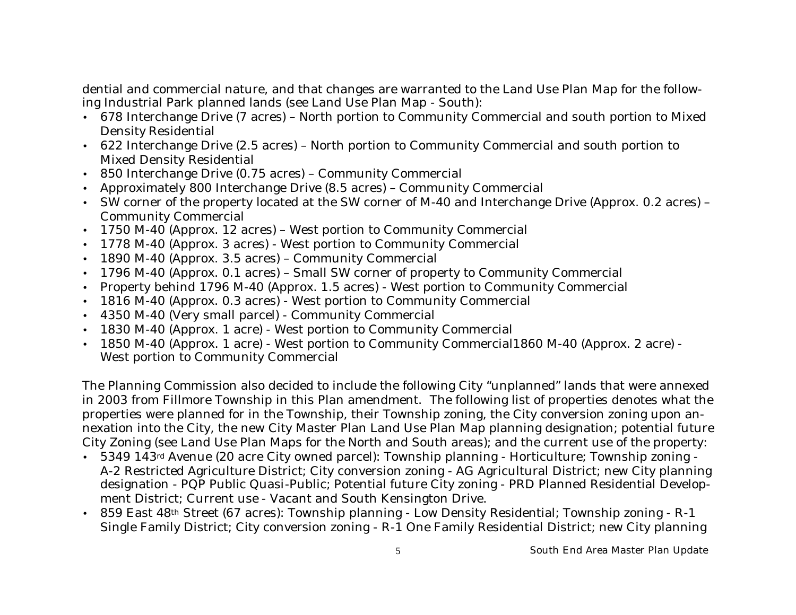dential and commercial nature, and that changes are warranted to the Land Use Plan Map for the following Industrial Park planned lands (see Land Use Plan Map - South):

- 678 Interchange Drive (7 acres) North portion to Community Commercial and south portion to Mixed Density Residential
- 622 Interchange Drive (2.5 acres) North portion to Community Commercial and south portion to Mixed Density Residential
- 850 Interchange Drive (0.75 acres) Community Commercial
- Approximately 800 Interchange Drive (8.5 acres) Community Commercial
- SW corner of the property located at the SW corner of M-40 and Interchange Drive (Approx. 0.2 acres) Community Commercial
- 1750 M-40 (Approx. 12 acres) West portion to Community Commercial
- 1778 M-40 (Approx. 3 acres) West portion to Community Commercial
- 1890 M-40 (Approx. 3.5 acres) Community Commercial
- 1796 M-40 (Approx. 0.1 acres) Small SW corner of property to Community Commercial
- Property behind 1796 M-40 (Approx. 1.5 acres) West portion to Community Commercial
- 1816 M-40 (Approx. 0.3 acres) West portion to Community Commercial
- 4350 M-40 (Very small parcel) Community Commercial
- 1830 M-40 (Approx. 1 acre) West portion to Community Commercial
- 1850 M-40 (Approx. 1 acre) West portion to Community Commercial 1860 M-40 (Approx. 2 acre) -West portion to Community Commercial

The Planning Commission also decided to include the following City "unplanned" lands that were annexed in 2003 from Fillmore Township in this Plan amendment. The following list of properties denotes what the properties were planned for in the Township, their Township zoning, the City conversion zoning upon annexation into the City, the new City Master Plan Land Use Plan Map planning designation; potential future City Zoning (see Land Use Plan Maps for the North and South areas); and the current use of the property:

- 5349 143<sup>rd</sup> Avenue (20 acre City owned parcel): Township planning Horticulture; Township zoning -A-2 Restricted Agriculture District; City conversion zoning - AG Agricultural District; new City planning designation - PQP Public Quasi-Public; Potential future City zoning - PRD Planned Residential Development District; Current use - Vacant and South Kensington Drive.
- 859 East 48<sup>th</sup> Street (67 acres): Township planning Low Density Residential; Township zoning R-1 Single Family District; City conversion zoning - R-1 One Family Residential District; new City planning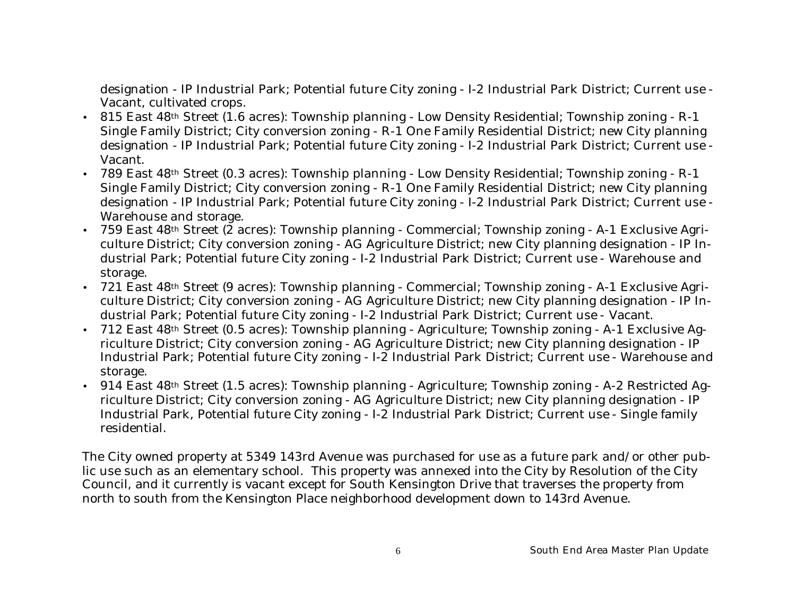designation - IP Industrial Park; Potential future City zoning - I-2 Industrial Park District; Current use - Vacant, cultivated crops.

- 815 East 48<sup>th</sup> Street (1.6 acres): Township planning Low Density Residential; Township zoning R-1 Single Family District; City conversion zoning - R-1 One Family Residential District; new City planning designation - IP Industrial Park; Potential future City zoning - I-2 Industrial Park District; Current use - Vacant.
- 789 East 48<sup>th</sup> Street (0.3 acres): Township planning Low Density Residential; Township zoning R-1 Single Family District; City conversion zoning - R-1 One Family Residential District; new City planning designation - IP Industrial Park; Potential future City zoning - I-2 Industrial Park District; Current use - Warehouse and storage.
- 759 East 48<sup>th</sup> Street (2 acres): Township planning Commercial; Township zoning A-1 Exclusive Agriculture District; City conversion zoning - AG Agriculture District; new City planning designation - IP Industrial Park; Potential future City zoning - I-2 Industrial Park District; Current use - Warehouse and storage.
- 721 East 48<sup>th</sup> Street (9 acres): Township planning Commercial; Township zoning A-1 Exclusive Agriculture District; City conversion zoning - AG Agriculture District; new City planning designation - IP Industrial Park; Potential future City zoning - I-2 Industrial Park District; Current use - Vacant.
- 712 East 48th Street (0.5 acres): Township planning Agriculture; Township zoning A-1 Exclusive Agriculture District; City conversion zoning - AG Agriculture District; new City planning designation - IP Industrial Park; Potential future City zoning - I-2 Industrial Park District; Current use - Warehouse and storage.
- 914 East 48<sup>th</sup> Street (1.5 acres): Township planning Agriculture; Township zoning A-2 Restricted Agriculture District; City conversion zoning - AG Agriculture District; new City planning designation - IP Industrial Park, Potential future City zoning - I-2 Industrial Park District; Current use - Single family residential.

The City owned property at 5349 143rd Avenue was purchased for use as a future park and/or other public use such as an elementary school. This property was annexed into the City by Resolution of the City Council, and it currently is vacant except for South Kensington Drive that traverses the property from north to south from the Kensington Place neighborhood development down to 143rd Avenue.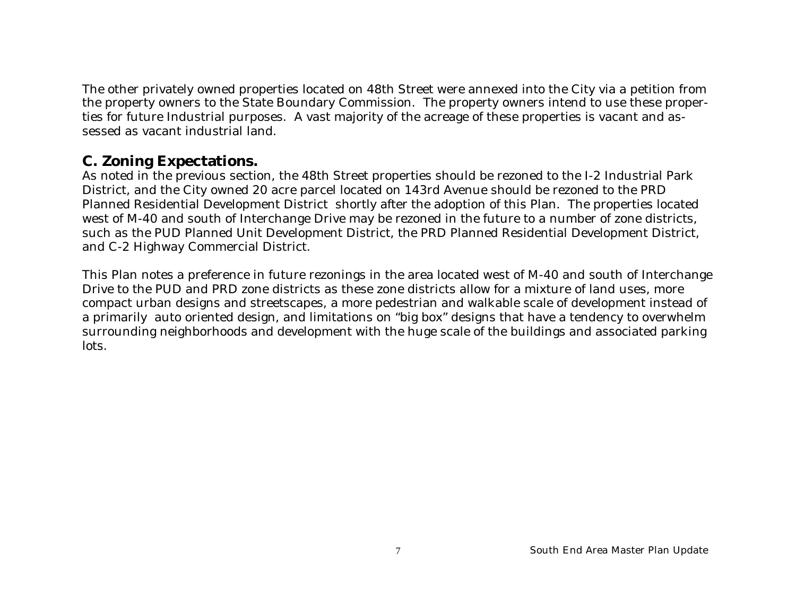The other privately owned properties located on 48th Street were annexed into the City via a petition from the property owners to the State Boundary Commission. The property owners intend to use these properties for future Industrial purposes. A vast majority of the acreage of these properties is vacant and assessed as vacant industrial land.

#### **C. Zoning Expectations.**

As noted in the previous section, the 48th Street properties should be rezoned to the I-2 Industrial Park District, and the City owned 20 acre parcel located on 143rd Avenue should be rezoned to the PRD Planned Residential Development District shortly after the adoption of this Plan. The properties located west of M-40 and south of Interchange Drive may be rezoned in the future to a number of zone districts, such as the PUD Planned Unit Development District, the PRD Planned Residential Development District, and C-2 Highway Commercial District.

This Plan notes a preference in future rezonings in the area located west of M-40 and south of Interchange Drive to the PUD and PRD zone districts as these zone districts allow for a mixture of land uses, more compact urban designs and streetscapes, a more pedestrian and walkable scale of development instead of a primarily auto oriented design, and limitations on "big box" designs that have a tendency to overwhelm surrounding neighborhoods and development with the huge scale of the buildings and associated parking lots.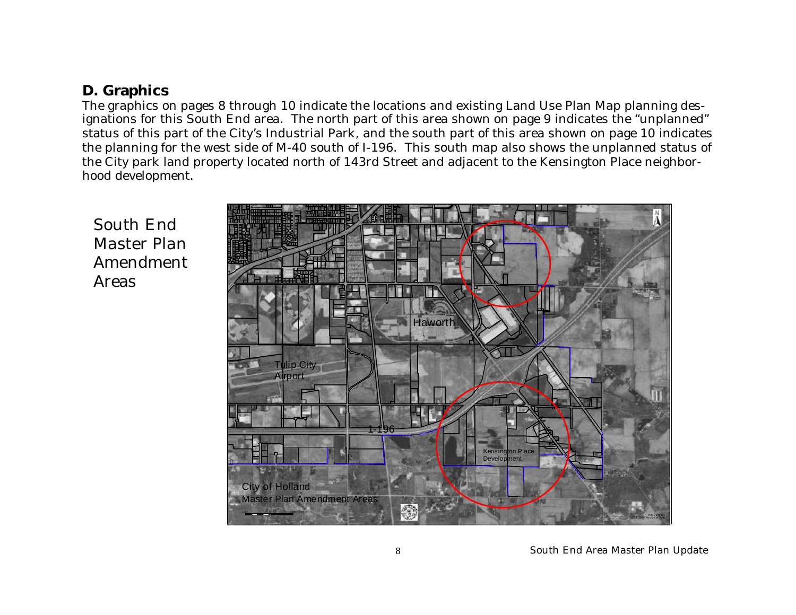## **D. Graphics**

The graphics on pages 8 through 10 indicate the locations and existing Land Use Plan Map planning designations for this South End area. The north part of this area shown on page 9 indicates the "unplanned" status of this part of the City's Industrial Park, and the south part of this area shown on page 10 indicates the planning for the west side of M-40 south of I-196. This south map also shows the unplanned status of the City park land property located north of 143rd Street and adjacent to the Kensington Place neighborhood development.

South End Master Plan Amendment Areas

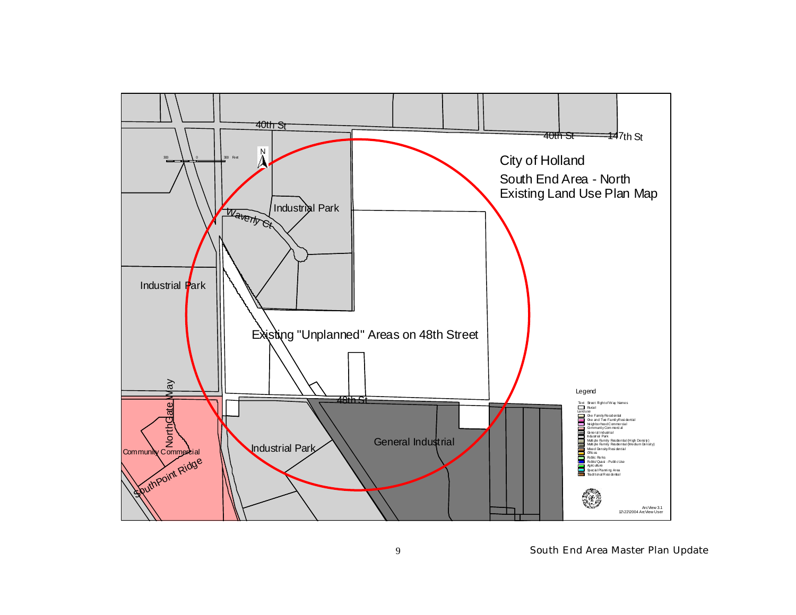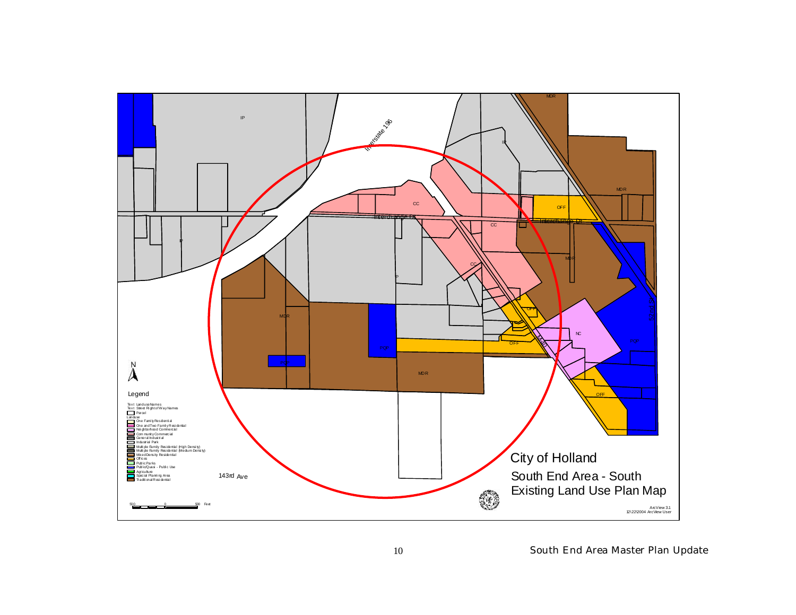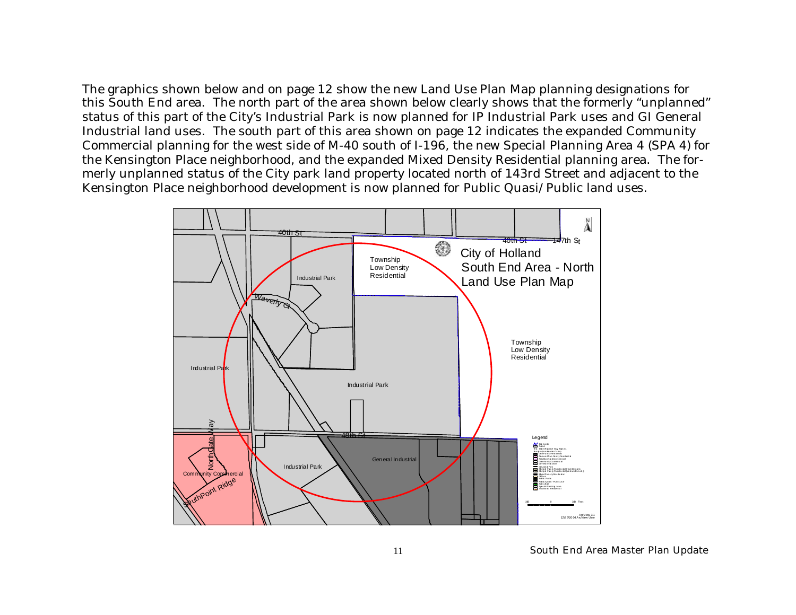The graphics shown below and on page 12 show the new Land Use Plan Map planning designations for this South End area. The north part of the area shown below clearly shows that the formerly "unplanned" status of this part of the City's Industrial Park is now planned for IP Industrial Park uses and GI General Industrial land uses. The south part of this area shown on page 12 indicates the expanded Community Commercial planning for the west side of M-40 south of I-196, the new Special Planning Area 4 (SPA 4) for the Kensington Place neighborhood, and the expanded Mixed Density Residential planning area. The formerly unplanned status of the City park land property located north of 143rd Street and adjacent to the Kensington Place neighborhood development is now planned for Public Quasi/Public land uses.

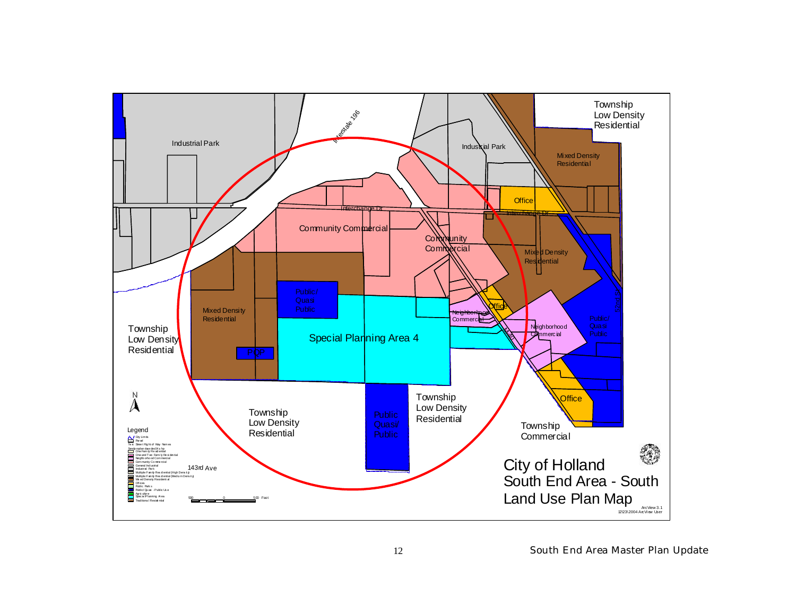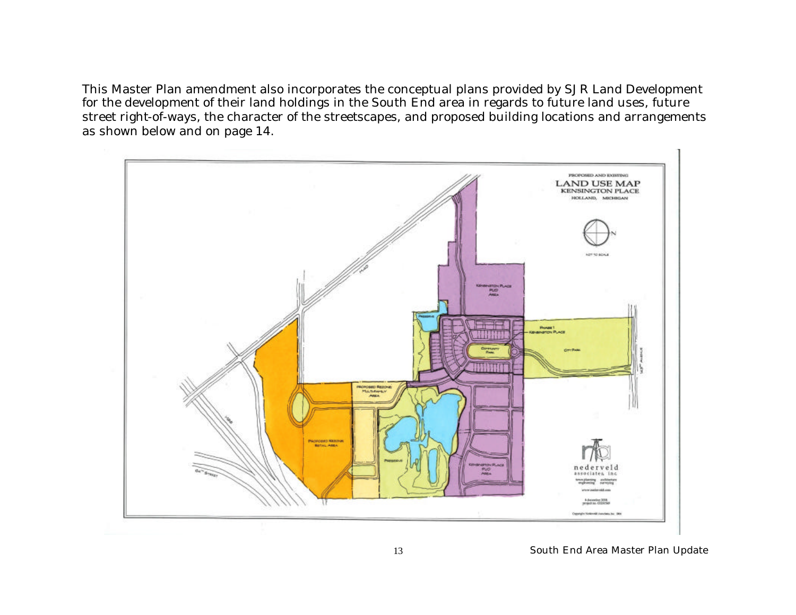This Master Plan amendment also incorporates the conceptual plans provided by SJR Land Development for the development of their land holdings in the South End area in regards to future land uses, future street right-of-ways, the character of the streetscapes, and proposed building locations and arrangements as shown below and on page 14.

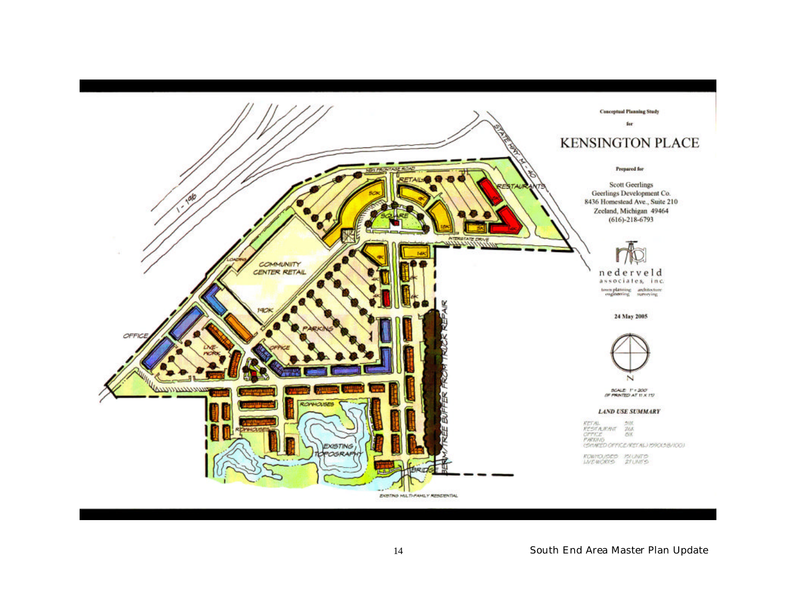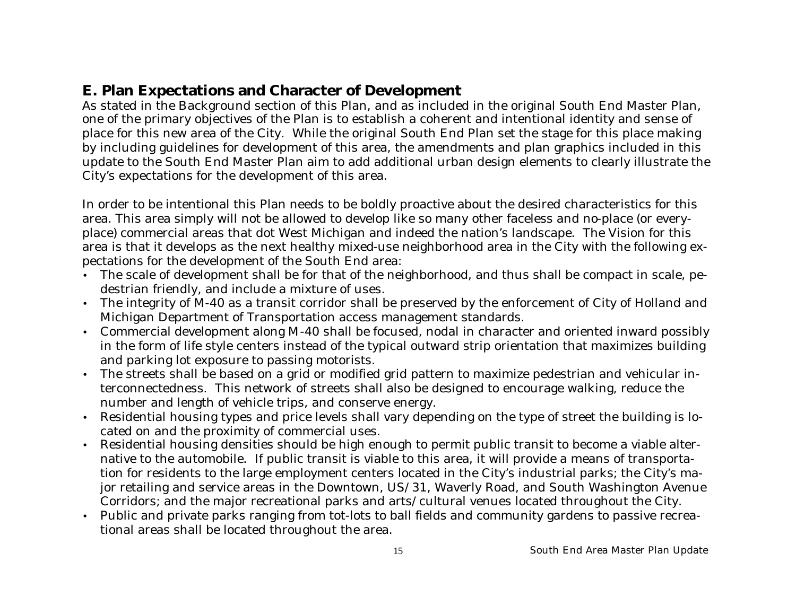## **E. Plan Expectations and Character of Development**

As stated in the Background section of this Plan, and as included in the original South End Master Plan, one of the primary objectives of the Plan is to establish a coherent and intentional identity and sense of place for this new area of the City. While the original South End Plan set the stage for this place making by including guidelines for development of this area, the amendments and plan graphics included in this update to the South End Master Plan aim to add additional urban design elements to clearly illustrate the City's expectations for the development of this area.

In order to be intentional this Plan needs to be boldly proactive about the desired characteristics for this area. This area simply will not be allowed to develop like so many other faceless and no-place (or everyplace) commercial areas that dot West Michigan and indeed the nation's landscape. The Vision for this area is that it develops as the next healthy mixed-use neighborhood area in the City with the following expectations for the development of the South End area:

- The scale of development shall be for that of the neighborhood, and thus shall be compact in scale, pedestrian friendly, and include a mixture of uses.
- The integrity of M-40 as a transit corridor shall be preserved by the enforcement of City of Holland and Michigan Department of Transportation access management standards.
- Commercial development along M-40 shall be focused, nodal in character and oriented inward possibly in the form of life style centers instead of the typical outward strip orientation that maximizes building and parking lot exposure to passing motorists.
- The streets shall be based on a grid or modified grid pattern to maximize pedestrian and vehicular interconnectedness. This network of streets shall also be designed to encourage walking, reduce the number and length of vehicle trips, and conserve energy.
- Residential housing types and price levels shall vary depending on the type of street the building is located on and the proximity of commercial uses.
- Residential housing densities should be high enough to permit public transit to become a viable alternative to the automobile. If public transit is viable to this area, it will provide a means of transportation for residents to the large employment centers located in the City's industrial parks; the City's major retailing and service areas in the Downtown, US/31, Waverly Road, and South Washington Avenue Corridors; and the major recreational parks and arts/cultural venues located throughout the City.
- Public and private parks ranging from tot-lots to ball fields and community gardens to passive recreational areas shall be located throughout the area.